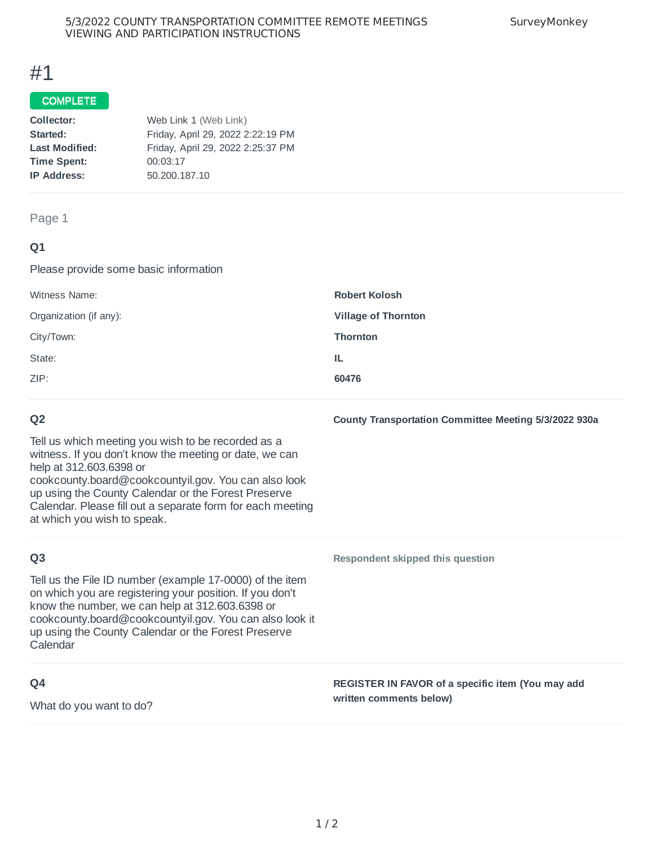### 5/3/2022 COUNTY TRANSPORTATION COMMITTEE REMOTE MEETINGS VIEWING AND PARTICIPATION INSTRUCTIONS

# #1

### COMPLETE

| Collector:            | Web Link 1 (Web Link)             |  |
|-----------------------|-----------------------------------|--|
| Started:              | Friday, April 29, 2022 2:22:19 PM |  |
| <b>Last Modified:</b> | Friday, April 29, 2022 2:25:37 PM |  |
| <b>Time Spent:</b>    | 00:03:17                          |  |
| <b>IP Address:</b>    | 50.200.187.10                     |  |
|                       |                                   |  |

### Page 1

# **Q1**

Please provide some basic information

| Witness Name:          | <b>Robert Kolosh</b>       |
|------------------------|----------------------------|
| Organization (if any): | <b>Village of Thornton</b> |
| City/Town:             | <b>Thornton</b>            |
| State:                 | TL.                        |
| ZIP:                   | 60476                      |
|                        |                            |

# **Q2**

Tell us which meeting you wish to be recorded as a witness. If you don't know the meeting or date, we can help at 312.603.6398 or cookcounty.board@cookcountyil.gov. You can also look up using the County Calendar or the Forest Preserve Calendar. Please fill out a separate form for each meeting at which you wish to speak.

# **Q3**

Tell us the File ID number (example 17-0000) of the item on which you are registering your position. If you don't know the number, we can help at 312.603.6398 or cookcounty.board@cookcountyil.gov. You can also look it up using the County Calendar or the Forest Preserve Calendar

# **Q4**

What do you want to do?

**Respondent skipped this question**

**REGISTER IN FAVOR of a specific item (You may add written comments below)**

**County Transportation Committee Meeting 5/3/2022 930a**